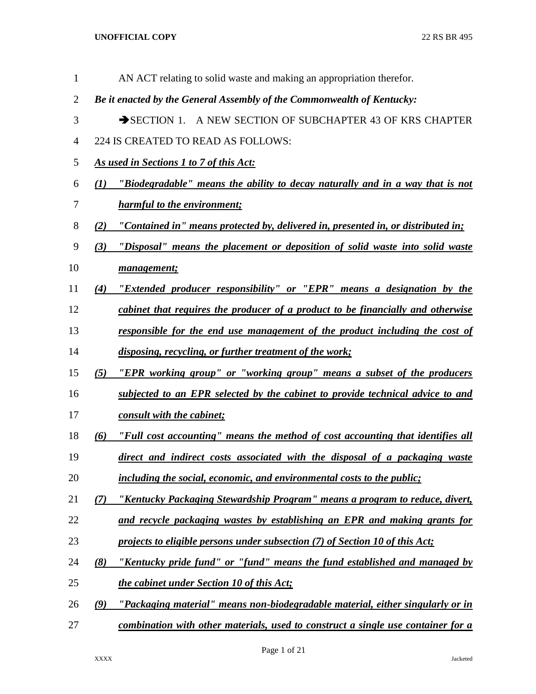| $\mathbf{1}$   | AN ACT relating to solid waste and making an appropriation therefor.                     |
|----------------|------------------------------------------------------------------------------------------|
| $\overline{2}$ | Be it enacted by the General Assembly of the Commonwealth of Kentucky:                   |
| 3              | SECTION 1. A NEW SECTION OF SUBCHAPTER 43 OF KRS CHAPTER                                 |
| 4              | 224 IS CREATED TO READ AS FOLLOWS:                                                       |
| 5              | As used in Sections 1 to 7 of this Act:                                                  |
| 6              | "Biodegradable" means the ability to decay naturally and in a way that is not<br>(1)     |
| 7              | <b>harmful to the environment;</b>                                                       |
| 8              | "Contained in" means protected by, delivered in, presented in, or distributed in;<br>(2) |
| 9              | "Disposal" means the placement or deposition of solid waste into solid waste<br>(3)      |
| 10             | management;                                                                              |
| 11             | "Extended producer responsibility" or "EPR" means a designation by the<br>(4)            |
| 12             | cabinet that requires the producer of a product to be financially and otherwise          |
| 13             | responsible for the end use management of the product including the cost of              |
| 14             | disposing, recycling, or further treatment of the work;                                  |
| 15             | "EPR working group" or "working group" means a subset of the producers<br>(5)            |
| 16             | subjected to an EPR selected by the cabinet to provide technical advice to and           |
| 17             | consult with the cabinet;                                                                |
| 18             | "Full cost accounting" means the method of cost accounting that identifies all<br>(6)    |
| 19             | direct and indirect costs associated with the disposal of a packaging waste              |
| 20             | including the social, economic, and environmental costs to the public;                   |
| 21             | "Kentucky Packaging Stewardship Program" means a program to reduce, divert,<br>(7)       |
| 22             | and recycle packaging wastes by establishing an EPR and making grants for                |
| 23             | projects to eligible persons under subsection (7) of Section 10 of this Act;             |
| 24             | "Kentucky pride fund" or "fund" means the fund established and managed by<br>(8)         |
| 25             | the cabinet under Section 10 of this Act;                                                |
| 26             | "Packaging material" means non-biodegradable material, either singularly or in<br>(9)    |
| 27             | combination with other materials, used to construct a single use container for a         |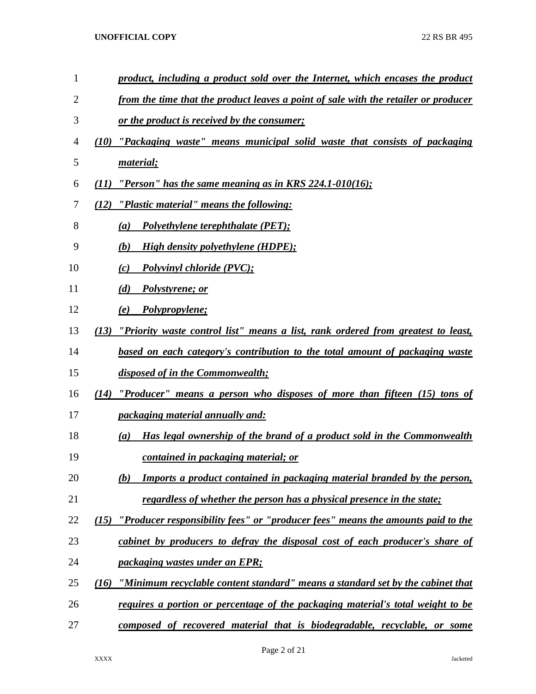| 1              | product, including a product sold over the Internet, which encases the product           |
|----------------|------------------------------------------------------------------------------------------|
| $\overline{2}$ | from the time that the product leaves a point of sale with the retailer or producer      |
| 3              | or the product is received by the consumer;                                              |
| 4              | "Packaging waste" means municipal solid waste that consists of packaging<br>(10)         |
| 5              | material;                                                                                |
| 6              | "Person" has the same meaning as in KRS $224.1 - 010(16)$ ;<br>(11)                      |
| 7              | (12) "Plastic material" means the following:                                             |
| 8              | <b>Polyethylene terephthalate (PET);</b><br>(a)                                          |
| 9              | <b>High density polyethylene (HDPE);</b><br>(b)                                          |
| 10             | Polyvinyl chloride (PVC);<br>(c)                                                         |
| 11             | Polystyrene; or<br>(d)                                                                   |
| 12             | Polypropylene;<br>(e)                                                                    |
| 13             | "Priority waste control list" means a list, rank ordered from greatest to least,<br>(13) |
| 14             | based on each category's contribution to the total amount of packaging waste             |
| 15             | disposed of in the Commonwealth;                                                         |
| 16             | "Producer" means a person who disposes of more than fifteen (15) tons of<br>(14)         |
| 17             | packaging material annually and:                                                         |
| 18             | Has legal ownership of the brand of a product sold in the Commonwealth<br>(a)            |
| 19             | contained in packaging material; or                                                      |
| 20             | Imports a product contained in packaging material branded by the person,<br>(b)          |
| 21             | regardless of whether the person has a physical presence in the state;                   |
| 22             | "Producer responsibility fees" or "producer fees" means the amounts paid to the<br>(15)  |
| 23             | cabinet by producers to defray the disposal cost of each producer's share of             |
| 24             | <u>packaging wastes under an EPR;</u>                                                    |
| 25             | "Minimum recyclable content standard" means a standard set by the cabinet that<br>(16)   |
| 26             | requires a portion or percentage of the packaging material's total weight to be          |
| 27             | composed of recovered material that is biodegradable, recyclable, or some                |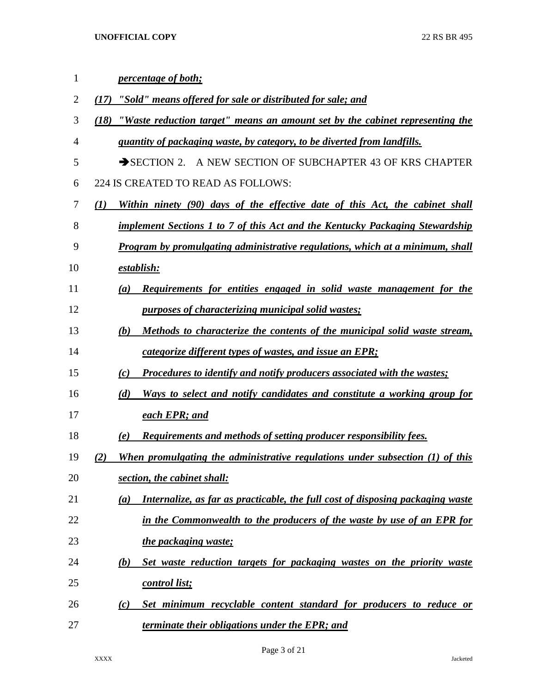| $\mathbf{1}$ | <i><u><b>percentage of both;</b></u></i>                                              |
|--------------|---------------------------------------------------------------------------------------|
| 2            | <u>"Sold" means offered for sale or distributed for sale; and</u><br>(17)             |
| 3            | "Waste reduction target" means an amount set by the cabinet representing the<br>(18)  |
| 4            | quantity of packaging waste, by category, to be diverted from landfills.              |
| 5            | $\rightarrow$ SECTION 2.<br>A NEW SECTION OF SUBCHAPTER 43 OF KRS CHAPTER             |
| 6            | 224 IS CREATED TO READ AS FOLLOWS:                                                    |
| 7            | Within ninety (90) days of the effective date of this Act, the cabinet shall<br>(I)   |
| 8            | implement Sections 1 to 7 of this Act and the Kentucky Packaging Stewardship          |
| 9            | Program by promulgating administrative regulations, which at a minimum, shall         |
| 10           | establish:                                                                            |
| 11           | <b>Requirements for entities engaged in solid waste management for the</b><br>(a)     |
| 12           | purposes of characterizing municipal solid wastes;                                    |
| 13           | Methods to characterize the contents of the municipal solid waste stream,<br>(b)      |
| 14           | <i>categorize different types of wastes, and issue an EPR;</i>                        |
| 15           | <b>Procedures to identify and notify producers associated with the wastes;</b><br>(c) |
| 16           | Ways to select and notify candidates and constitute a working group for<br>(d)        |
| 17           | each EPR; and                                                                         |
| 18           | Requirements and methods of setting producer responsibility fees.<br>(e)              |
| 19           | When promulgating the administrative regulations under subsection (1) of this<br>(2)  |
| 20           | section, the cabinet shall:                                                           |
| 21           | Internalize, as far as practicable, the full cost of disposing packaging waste<br>(a) |
| 22           | in the Commonwealth to the producers of the waste by use of an EPR for                |
| 23           | the packaging waste;                                                                  |
| 24           | Set waste reduction targets for packaging wastes on the priority waste<br>(b)         |
| 25           | <u>control list;</u>                                                                  |
| 26           | Set minimum recyclable content standard for producers to reduce or<br>(c)             |
| 27           | terminate their obligations under the EPR; and                                        |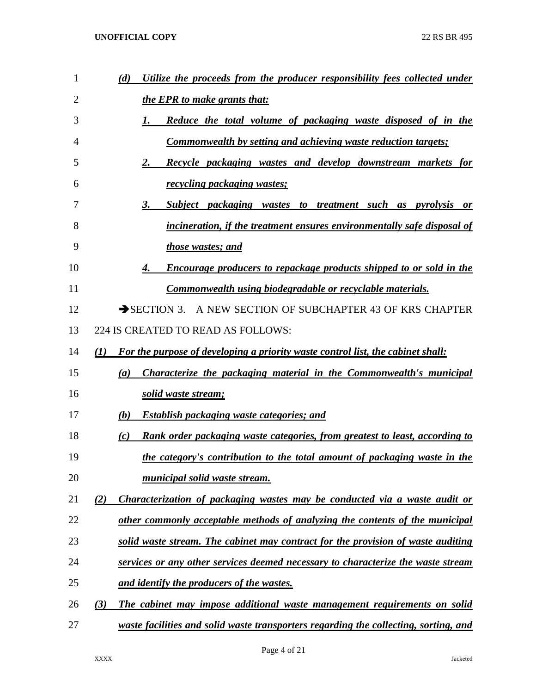| 1  | Utilize the proceeds from the producer responsibility fees collected under<br>(d)      |
|----|----------------------------------------------------------------------------------------|
| 2  | the EPR to make grants that:                                                           |
| 3  | Reduce the total volume of packaging waste disposed of in the<br>1.                    |
| 4  | Commonwealth by setting and achieving waste reduction targets;                         |
| 5  | Recycle packaging wastes and develop downstream markets for<br>2.                      |
| 6  | <i>recycling packaging wastes;</i>                                                     |
| 7  | Subject packaging wastes to treatment such as pyrolysis or<br>3.                       |
| 8  | incineration, if the treatment ensures environmentally safe disposal of                |
| 9  | those wastes; and                                                                      |
| 10 | Encourage producers to repackage products shipped to or sold in the<br>4.              |
| 11 | Commonwealth using biodegradable or recyclable materials.                              |
| 12 | A NEW SECTION OF SUBCHAPTER 43 OF KRS CHAPTER<br>$\rightarrow$ SECTION 3.              |
| 13 | 224 IS CREATED TO READ AS FOLLOWS:                                                     |
| 14 | For the purpose of developing a priority waste control list, the cabinet shall:<br>(I) |
| 15 | Characterize the packaging material in the Commonwealth's municipal<br>(a)             |
| 16 | solid waste stream;                                                                    |
| 17 | <b>Establish packaging waste categories; and</b><br>(b)                                |
| 18 | Rank order packaging waste categories, from greatest to least, according to<br>(c)     |
| 19 | the category's contribution to the total amount of packaging waste in the              |
| 20 | <i>municipal solid waste stream.</i>                                                   |
| 21 | Characterization of packaging wastes may be conducted via a waste audit or<br>(2)      |
| 22 | other commonly acceptable methods of analyzing the contents of the municipal           |
| 23 | solid waste stream. The cabinet may contract for the provision of waste auditing       |
| 24 | services or any other services deemed necessary to characterize the waste stream       |
| 25 | and identify the producers of the wastes.                                              |
| 26 | (3)<br>The cabinet may impose additional waste management requirements on solid        |
| 27 | waste facilities and solid waste transporters regarding the collecting, sorting, and   |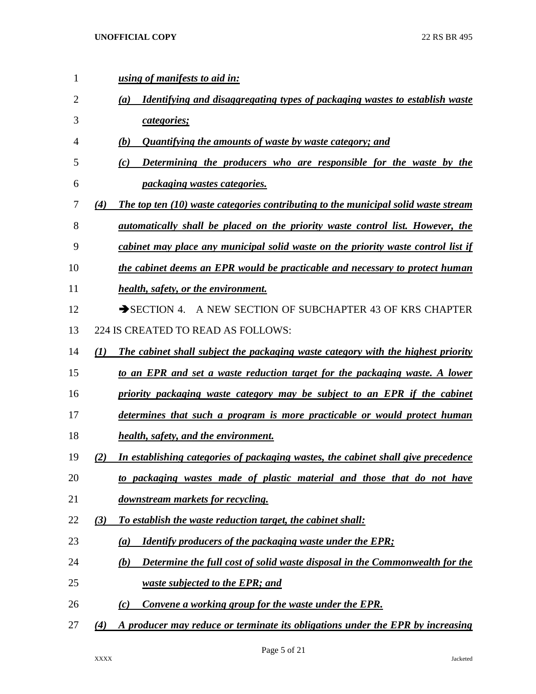| 1              | using of manifests to aid in:                                                             |
|----------------|-------------------------------------------------------------------------------------------|
| $\overline{2}$ | Identifying and disaggregating types of packaging wastes to establish waste<br>(a)        |
| 3              | categories;                                                                               |
| 4              | Quantifying the amounts of waste by waste category; and<br>(b)                            |
| 5              | Determining the producers who are responsible for the waste by the<br>(c)                 |
| 6              | <i>packaging wastes categories.</i>                                                       |
| 7              | The top ten (10) waste categories contributing to the municipal solid waste stream<br>(4) |
| 8              | <i>automatically shall be placed on the priority waste control list. However, the</i>     |
| 9              | cabinet may place any municipal solid waste on the priority waste control list if         |
| 10             | the cabinet deems an EPR would be practicable and necessary to protect human              |
| 11             | <i>health, safety, or the environment.</i>                                                |
| 12             | A NEW SECTION OF SUBCHAPTER 43 OF KRS CHAPTER<br>$\rightarrow$ SECTION 4.                 |
| 13             | 224 IS CREATED TO READ AS FOLLOWS:                                                        |
| 14             | The cabinet shall subject the packaging waste category with the highest priority<br>(I)   |
| 15             | to an EPR and set a waste reduction target for the packaging waste. A lower               |
| 16             | priority packaging waste category may be subject to an EPR if the cabinet                 |
| 17             | determines that such a program is more practicable or would protect human                 |
| 18             | health, safety, and the environment.                                                      |
| 19             | In establishing categories of packaging wastes, the cabinet shall give precedence<br>(2)  |
| 20             | to packaging wastes made of plastic material and those that do not have                   |
| 21             | downstream markets for recycling.                                                         |
| 22             | To establish the waste reduction target, the cabinet shall:<br>(3)                        |
| 23             | <b>Identify producers of the packaging waste under the EPR;</b><br>$\left(a\right)$       |
| 24             | Determine the full cost of solid waste disposal in the Commonwealth for the<br>(b)        |
| 25             | waste subjected to the EPR; and                                                           |
| 26             | Convene a working group for the waste under the EPR.<br>(c)                               |
| 27             | A producer may reduce or terminate its obligations under the EPR by increasing<br>(4)     |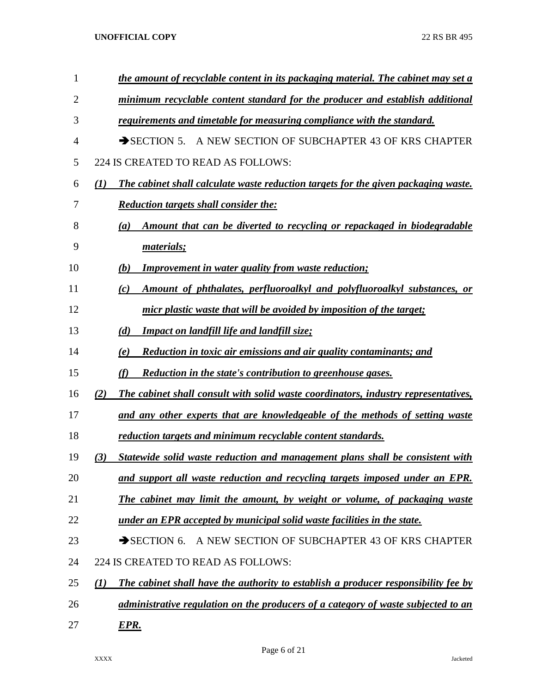| 1  | the amount of recyclable content in its packaging material. The cabinet may set a                       |
|----|---------------------------------------------------------------------------------------------------------|
| 2  | minimum recyclable content standard for the producer and establish additional                           |
| 3  | requirements and timetable for measuring compliance with the standard.                                  |
| 4  | A NEW SECTION OF SUBCHAPTER 43 OF KRS CHAPTER<br>$\rightarrow$ SECTION 5.                               |
| 5  | 224 IS CREATED TO READ AS FOLLOWS:                                                                      |
| 6  | The cabinet shall calculate waste reduction targets for the given packaging waste.<br>$\mathbf{\Omega}$ |
| 7  | <b>Reduction targets shall consider the:</b>                                                            |
| 8  | Amount that can be diverted to recycling or repackaged in biodegradable<br>(a)                          |
| 9  | materials;                                                                                              |
| 10 | <b>Improvement in water quality from waste reduction;</b><br>(b)                                        |
| 11 | Amount of phthalates, perfluoroalkyl and polyfluoroalkyl substances, or<br>(c)                          |
| 12 | micr plastic waste that will be avoided by imposition of the target;                                    |
| 13 | <b>Impact on landfill life and landfill size;</b><br>(d)                                                |
| 14 | Reduction in toxic air emissions and air quality contaminants; and<br>(e)                               |
| 15 | Reduction in the state's contribution to greenhouse gases.<br>(f)                                       |
| 16 | The cabinet shall consult with solid waste coordinators, industry representatives,<br>(2)               |
| 17 | and any other experts that are knowledgeable of the methods of setting waste                            |
| 18 | reduction targets and minimum recyclable content standards.                                             |
| 19 | Statewide solid waste reduction and management plans shall be consistent with<br>(3)                    |
| 20 | and support all waste reduction and recycling targets imposed under an EPR.                             |
| 21 | The cabinet may limit the amount, by weight or volume, of packaging waste                               |
| 22 | under an EPR accepted by municipal solid waste facilities in the state.                                 |
| 23 | A NEW SECTION OF SUBCHAPTER 43 OF KRS CHAPTER<br>$\rightarrow$ SECTION 6.                               |
| 24 | 224 IS CREATED TO READ AS FOLLOWS:                                                                      |
| 25 | The cabinet shall have the authority to establish a producer responsibility fee by<br>$\mathbf{\Omega}$ |
| 26 | administrative regulation on the producers of a category of waste subjected to an                       |
| 27 | <u>EPR.</u>                                                                                             |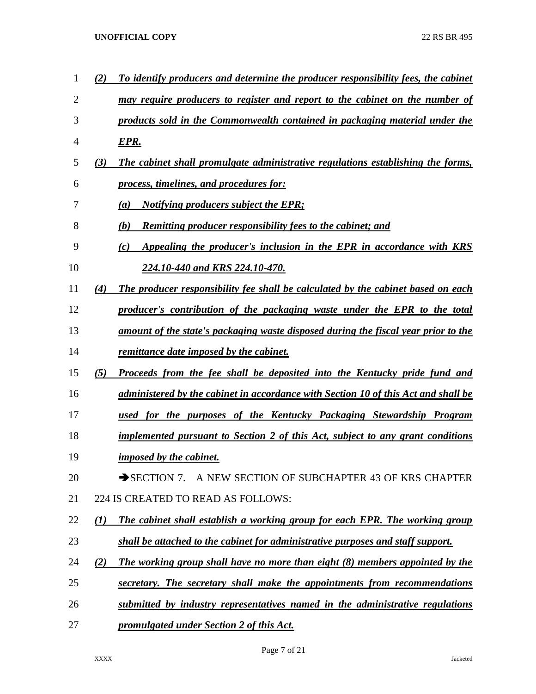| 1  | (2)              | To identify producers and determine the producer responsibility fees, the cabinet   |
|----|------------------|-------------------------------------------------------------------------------------|
| 2  |                  | <u>may require producers to register and report to the cabinet on the number of</u> |
| 3  |                  | products sold in the Commonwealth contained in packaging material under the         |
| 4  |                  | EPR.                                                                                |
| 5  | (3)              | The cabinet shall promulgate administrative regulations establishing the forms,     |
| 6  |                  | <u>process, timelines, and procedures for:</u>                                      |
| 7  |                  | <b>Notifying producers subject the EPR;</b><br>(a)                                  |
| 8  |                  | (b)<br><b>Remitting producer responsibility fees to the cabinet; and</b>            |
| 9  |                  | Appealing the producer's inclusion in the EPR in accordance with KRS<br>(c)         |
| 10 |                  | 224.10-440 and KRS 224.10-470.                                                      |
| 11 | (4)              | The producer responsibility fee shall be calculated by the cabinet based on each    |
| 12 |                  | producer's contribution of the packaging waste under the EPR to the total           |
| 13 |                  | amount of the state's packaging waste disposed during the fiscal year prior to the  |
| 14 |                  | <i>remittance date imposed by the cabinet.</i>                                      |
| 15 | (5)              | Proceeds from the fee shall be deposited into the Kentucky pride fund and           |
| 16 |                  | administered by the cabinet in accordance with Section 10 of this Act and shall be  |
| 17 |                  | used for the purposes of the Kentucky Packaging Stewardship Program                 |
| 18 |                  | implemented pursuant to Section 2 of this Act, subject to any grant conditions      |
| 19 |                  | <i>imposed by the cabinet.</i>                                                      |
| 20 |                  | SECTION 7. A NEW SECTION OF SUBCHAPTER 43 OF KRS CHAPTER                            |
| 21 |                  | 224 IS CREATED TO READ AS FOLLOWS:                                                  |
| 22 | $\mathcal{L}(I)$ | The cabinet shall establish a working group for each EPR. The working group         |
| 23 |                  | shall be attached to the cabinet for administrative purposes and staff support.     |
| 24 | (2)              | The working group shall have no more than eight (8) members appointed by the        |
| 25 |                  | secretary. The secretary shall make the appointments from recommendations           |
| 26 |                  | submitted by industry representatives named in the administrative regulations       |
| 27 |                  | promulgated under Section 2 of this Act.                                            |

Page 7 of 21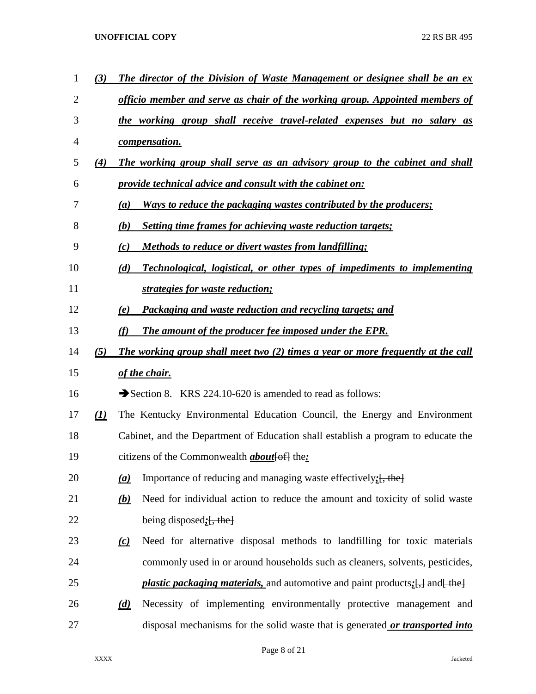| 1              | (3)                            |                 | The director of the Division of Waste Management or designee shall be an ex-                                |
|----------------|--------------------------------|-----------------|-------------------------------------------------------------------------------------------------------------|
| $\overline{2}$ |                                |                 | officio member and serve as chair of the working group. Appointed members of                                |
| 3              |                                |                 | the working group shall receive travel-related expenses but no salary as                                    |
| 4              |                                |                 | compensation.                                                                                               |
| 5              | (4)                            |                 | The working group shall serve as an advisory group to the cabinet and shall                                 |
| 6              |                                |                 | provide technical advice and consult with the cabinet on:                                                   |
| 7              |                                | (a)             | Ways to reduce the packaging wastes contributed by the producers;                                           |
| 8              |                                | (b)             | <b>Setting time frames for achieving waste reduction targets;</b>                                           |
| 9              |                                | (c)             | <b>Methods to reduce or divert wastes from landfilling;</b>                                                 |
| 10             |                                | (d)             | Technological, logistical, or other types of impediments to implementing                                    |
| 11             |                                |                 | strategies for waste reduction;                                                                             |
| 12             |                                | (e)             | Packaging and waste reduction and recycling targets; and                                                    |
| 13             |                                | (f)             | The amount of the producer fee imposed under the EPR.                                                       |
| 14             | (5)                            |                 | The working group shall meet two (2) times a year or more frequently at the call                            |
| 15             |                                |                 | of the chair.                                                                                               |
| 16             |                                |                 | Section 8. KRS 224.10-620 is amended to read as follows:                                                    |
| 17             | $\left( \underline{I} \right)$ |                 | The Kentucky Environmental Education Council, the Energy and Environment                                    |
| 18             |                                |                 | Cabinet, and the Department of Education shall establish a program to educate the                           |
| 19             |                                |                 | citizens of the Commonwealth <i>about</i> [of ] the:                                                        |
| 20             |                                | $\underline{a}$ | Importance of reducing and managing waste effectively: [, the]                                              |
| 21             |                                | <u>(b)</u>      | Need for individual action to reduce the amount and toxicity of solid waste                                 |
| 22             |                                |                 | being disposed: $[$ , the                                                                                   |
| 23             |                                | $\omega$        | Need for alternative disposal methods to landfilling for toxic materials                                    |
| 24             |                                |                 | commonly used in or around households such as cleaners, solvents, pesticides,                               |
| 25             |                                |                 | <i>plastic packaging materials, and automotive and paint products</i> : $\frac{1}{2}$ and $\frac{1}{2}$ the |
| 26             |                                | $\underline{d}$ | Necessity of implementing environmentally protective management and                                         |
| 27             |                                |                 | disposal mechanisms for the solid waste that is generated or transported into                               |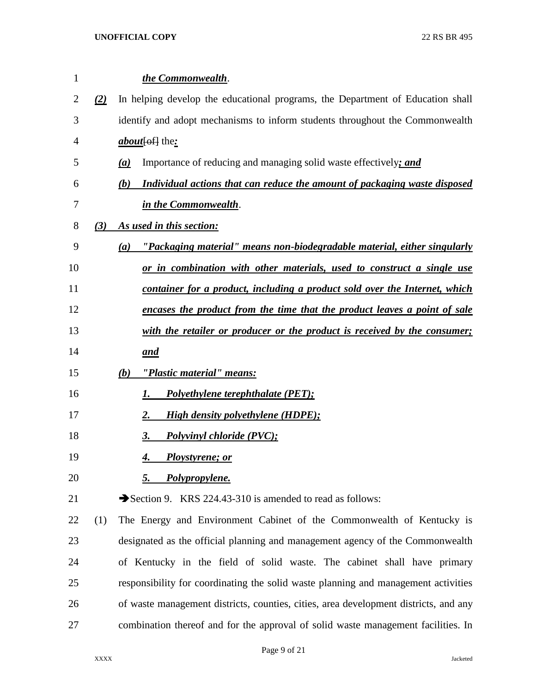| $\mathbf{1}$   |     | the Commonwealth.                                                                    |
|----------------|-----|--------------------------------------------------------------------------------------|
| $\overline{2}$ | (2) | In helping develop the educational programs, the Department of Education shall       |
| 3              |     | identify and adopt mechanisms to inform students throughout the Commonwealth         |
| 4              |     | <i>about</i> [of ] the:                                                              |
| 5              |     | Importance of reducing and managing solid waste effectively; and<br>(a)              |
| 6              |     | Individual actions that can reduce the amount of packaging waste disposed<br>(b)     |
| 7              |     | in the Commonwealth.                                                                 |
| 8              | (3) | As used in this section:                                                             |
| 9              |     | "Packaging material" means non-biodegradable material, either singularly<br>(a)      |
| 10             |     | or in combination with other materials, used to construct a single use               |
| 11             |     | container for a product, including a product sold over the Internet, which           |
| 12             |     | encases the product from the time that the product leaves a point of sale            |
| 13             |     | with the retailer or producer or the product is received by the consumer;            |
| 14             |     | and                                                                                  |
| 15             |     | "Plastic material" means:<br>(b)                                                     |
| 16             |     | Polyethylene terephthalate (PET);<br>1.                                              |
| 17             |     | <b>High density polyethylene (HDPE);</b><br>2.                                       |
| 18             |     | <b>Polyvinyl chloride (PVC);</b><br>3.                                               |
| 19             |     | <b>Ploystyrene; or</b><br>4.                                                         |
| 20             |     | Polypropylene.<br>5.                                                                 |
| 21             |     | Section 9. KRS 224.43-310 is amended to read as follows:                             |
| 22             | (1) | The Energy and Environment Cabinet of the Commonwealth of Kentucky is                |
| 23             |     | designated as the official planning and management agency of the Commonwealth        |
| 24             |     | of Kentucky in the field of solid waste. The cabinet shall have primary              |
| 25             |     | responsibility for coordinating the solid waste planning and management activities   |
| 26             |     | of waste management districts, counties, cities, area development districts, and any |
| 27             |     | combination thereof and for the approval of solid waste management facilities. In    |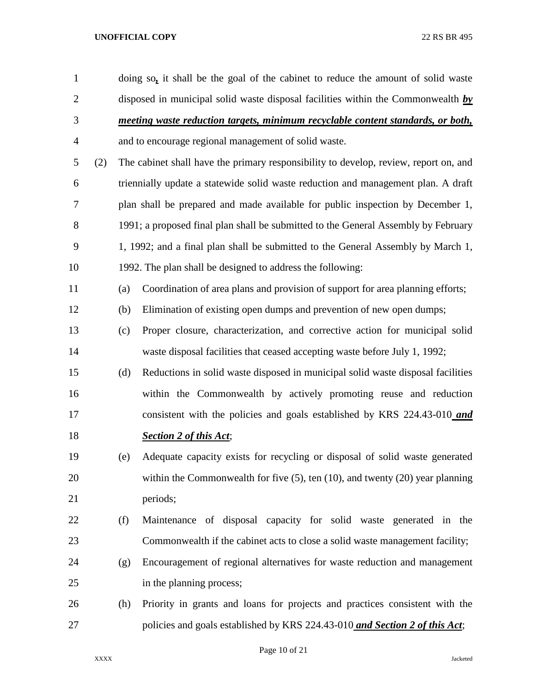doing so*,* it shall be the goal of the cabinet to reduce the amount of solid waste disposed in municipal solid waste disposal facilities within the Commonwealth *by meeting waste reduction targets, minimum recyclable content standards, or both,*  and to encourage regional management of solid waste. (2) The cabinet shall have the primary responsibility to develop, review, report on, and triennially update a statewide solid waste reduction and management plan. A draft plan shall be prepared and made available for public inspection by December 1, 1991; a proposed final plan shall be submitted to the General Assembly by February 1, 1992; and a final plan shall be submitted to the General Assembly by March 1, 1992. The plan shall be designed to address the following: (a) Coordination of area plans and provision of support for area planning efforts; (b) Elimination of existing open dumps and prevention of new open dumps; (c) Proper closure, characterization, and corrective action for municipal solid waste disposal facilities that ceased accepting waste before July 1, 1992; (d) Reductions in solid waste disposed in municipal solid waste disposal facilities within the Commonwealth by actively promoting reuse and reduction consistent with the policies and goals established by KRS 224.43-010 *and Section 2 of this Act*; (e) Adequate capacity exists for recycling or disposal of solid waste generated within the Commonwealth for five (5), ten (10), and twenty (20) year planning periods; (f) Maintenance of disposal capacity for solid waste generated in the Commonwealth if the cabinet acts to close a solid waste management facility; (g) Encouragement of regional alternatives for waste reduction and management in the planning process; (h) Priority in grants and loans for projects and practices consistent with the policies and goals established by KRS 224.43-010 *and Section 2 of this Act*;

Page 10 of 21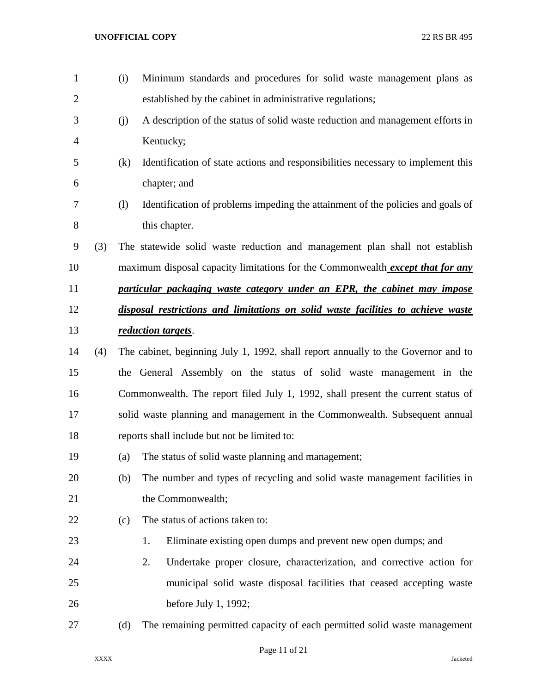(i) Minimum standards and procedures for solid waste management plans as established by the cabinet in administrative regulations; (j) A description of the status of solid waste reduction and management efforts in Kentucky; (k) Identification of state actions and responsibilities necessary to implement this chapter; and (l) Identification of problems impeding the attainment of the policies and goals of 8 this chapter. (3) The statewide solid waste reduction and management plan shall not establish maximum disposal capacity limitations for the Commonwealth *except that for any particular packaging waste category under an EPR, the cabinet may impose disposal restrictions and limitations on solid waste facilities to achieve waste reduction targets*. (4) The cabinet, beginning July 1, 1992, shall report annually to the Governor and to the General Assembly on the status of solid waste management in the Commonwealth. The report filed July 1, 1992, shall present the current status of solid waste planning and management in the Commonwealth. Subsequent annual reports shall include but not be limited to: (a) The status of solid waste planning and management; (b) The number and types of recycling and solid waste management facilities in 21 the Commonwealth; 22 (c) The status of actions taken to: 1. Eliminate existing open dumps and prevent new open dumps; and 2. Undertake proper closure, characterization, and corrective action for municipal solid waste disposal facilities that ceased accepting waste before July 1, 1992; (d) The remaining permitted capacity of each permitted solid waste management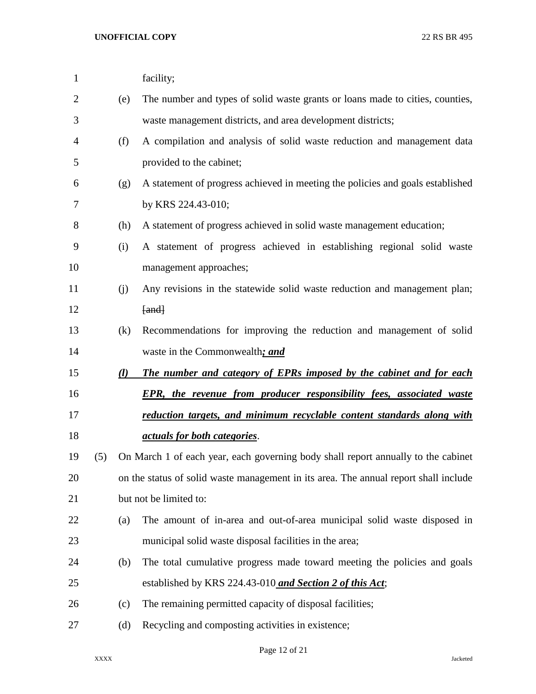| $\mathbf{1}$ |     |     | facility;                                                                            |
|--------------|-----|-----|--------------------------------------------------------------------------------------|
| 2            |     | (e) | The number and types of solid waste grants or loans made to cities, counties,        |
| 3            |     |     | waste management districts, and area development districts;                          |
| 4            |     | (f) | A compilation and analysis of solid waste reduction and management data              |
| 5            |     |     | provided to the cabinet;                                                             |
| 6            |     | (g) | A statement of progress achieved in meeting the policies and goals established       |
| 7            |     |     | by KRS 224.43-010;                                                                   |
| 8            |     | (h) | A statement of progress achieved in solid waste management education;                |
| 9            |     | (i) | A statement of progress achieved in establishing regional solid waste                |
| 10           |     |     | management approaches;                                                               |
| 11           |     | (j) | Any revisions in the statewide solid waste reduction and management plan;            |
| 12           |     |     | [and]                                                                                |
| 13           |     | (k) | Recommendations for improving the reduction and management of solid                  |
| 14           |     |     | waste in the Commonwealth; and                                                       |
| 15           |     | (l) | The number and category of EPRs imposed by the cabinet and for each                  |
| 16           |     |     | <b>EPR</b> , the revenue from producer responsibility fees, associated waste         |
| 17           |     |     | reduction targets, and minimum recyclable content standards along with               |
| 18           |     |     | <i><u>actuals for both categories.</u></i>                                           |
| 19           | (5) |     | On March 1 of each year, each governing body shall report annually to the cabinet    |
| 20           |     |     | on the status of solid waste management in its area. The annual report shall include |
| 21           |     |     | but not be limited to:                                                               |
| 22           |     | (a) | The amount of in-area and out-of-area municipal solid waste disposed in              |
| 23           |     |     | municipal solid waste disposal facilities in the area;                               |
| 24           |     | (b) | The total cumulative progress made toward meeting the policies and goals             |
| 25           |     |     | established by KRS 224.43-010 and Section 2 of this Act;                             |
| 26           |     | (c) | The remaining permitted capacity of disposal facilities;                             |
|              |     |     |                                                                                      |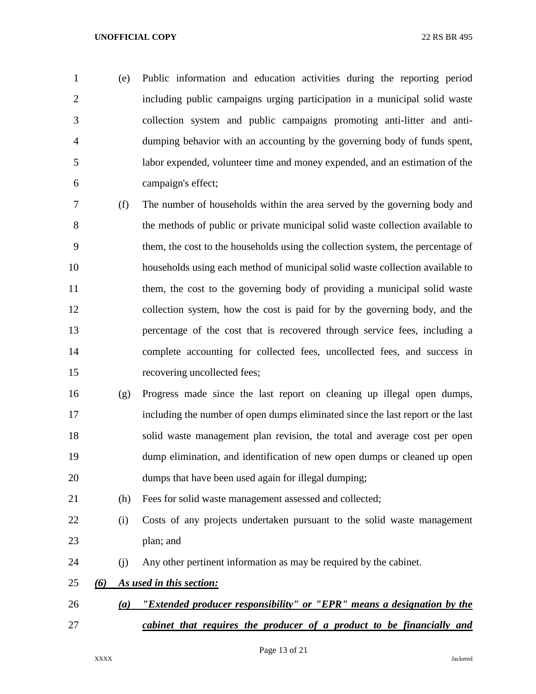(e) Public information and education activities during the reporting period including public campaigns urging participation in a municipal solid waste collection system and public campaigns promoting anti-litter and anti- dumping behavior with an accounting by the governing body of funds spent, labor expended, volunteer time and money expended, and an estimation of the campaign's effect;

 (f) The number of households within the area served by the governing body and the methods of public or private municipal solid waste collection available to them, the cost to the households using the collection system, the percentage of households using each method of municipal solid waste collection available to 11 them, the cost to the governing body of providing a municipal solid waste collection system, how the cost is paid for by the governing body, and the percentage of the cost that is recovered through service fees, including a complete accounting for collected fees, uncollected fees, and success in recovering uncollected fees;

 (g) Progress made since the last report on cleaning up illegal open dumps, including the number of open dumps eliminated since the last report or the last solid waste management plan revision, the total and average cost per open dump elimination, and identification of new open dumps or cleaned up open dumps that have been used again for illegal dumping;



 (i) Costs of any projects undertaken pursuant to the solid waste management plan; and

(j) Any other pertinent information as may be required by the cabinet.

*(6) As used in this section:*

# *(a) "Extended producer responsibility" or "EPR" means a designation by the cabinet that requires the producer of a product to be financially and*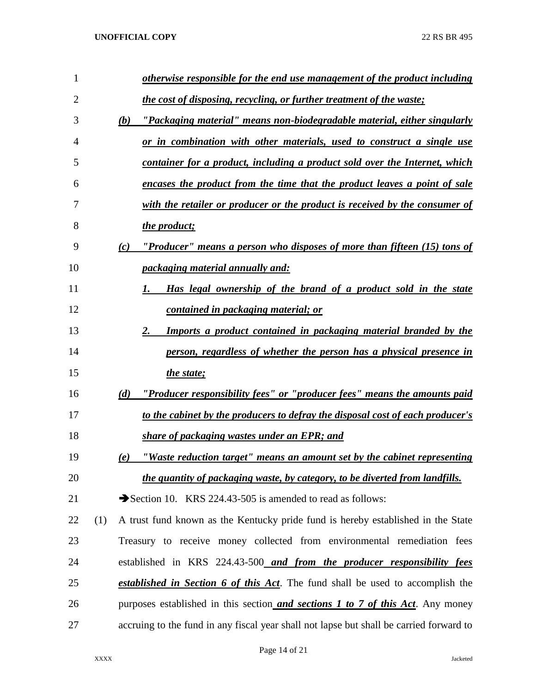| 1  |     | otherwise responsible for the end use management of the product including               |
|----|-----|-----------------------------------------------------------------------------------------|
| 2  |     | <u>the cost of disposing, recycling, or further treatment of the waste;</u>             |
| 3  |     | "Packaging material" means non-biodegradable material, either singularly<br>(b)         |
| 4  |     | or in combination with other materials, used to construct a single use                  |
| 5  |     | container for a product, including a product sold over the Internet, which              |
| 6  |     | encases the product from the time that the product leaves a point of sale               |
| 7  |     | with the retailer or producer or the product is received by the consumer of             |
| 8  |     | the product;                                                                            |
| 9  |     | "Producer" means a person who disposes of more than fifteen (15) tons of<br>(c)         |
| 10 |     | packaging material annually and:                                                        |
| 11 |     | Has legal ownership of the brand of a product sold in the state                         |
| 12 |     | contained in packaging material; or                                                     |
| 13 |     | <b>Imports a product contained in packaging material branded by the</b><br>2.           |
| 14 |     | person, regardless of whether the person has a physical presence in                     |
| 15 |     | the state;                                                                              |
| 16 |     | "Producer responsibility fees" or "producer fees" means the amounts paid<br>(d)         |
| 17 |     | to the cabinet by the producers to defray the disposal cost of each producer's          |
| 18 |     | share of packaging wastes under an EPR; and                                             |
| 19 |     | "Waste reduction target" means an amount set by the cabinet representing<br>(e)         |
| 20 |     | the quantity of packaging waste, by category, to be diverted from landfills.            |
| 21 |     | Section 10. KRS 224.43-505 is amended to read as follows:                               |
| 22 | (1) | A trust fund known as the Kentucky pride fund is hereby established in the State        |
| 23 |     | Treasury to receive money collected from environmental remediation fees                 |
| 24 |     | established in KRS 224.43-500 and from the producer responsibility fees                 |
| 25 |     | established in Section 6 of this Act. The fund shall be used to accomplish the          |
| 26 |     | purposes established in this section and sections 1 to 7 of this Act. Any money         |
| 27 |     | accruing to the fund in any fiscal year shall not lapse but shall be carried forward to |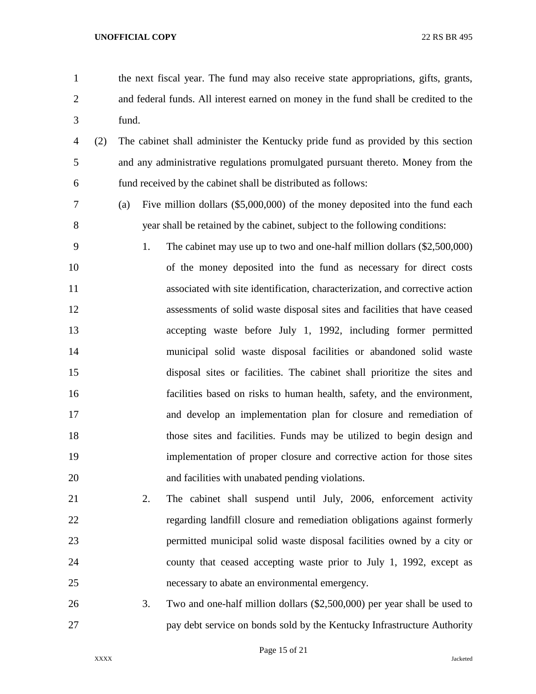the next fiscal year. The fund may also receive state appropriations, gifts, grants, and federal funds. All interest earned on money in the fund shall be credited to the fund.

- (2) The cabinet shall administer the Kentucky pride fund as provided by this section and any administrative regulations promulgated pursuant thereto. Money from the fund received by the cabinet shall be distributed as follows:
- (a) Five million dollars (\$5,000,000) of the money deposited into the fund each year shall be retained by the cabinet, subject to the following conditions:
- 1. The cabinet may use up to two and one-half million dollars (\$2,500,000) of the money deposited into the fund as necessary for direct costs associated with site identification, characterization, and corrective action assessments of solid waste disposal sites and facilities that have ceased accepting waste before July 1, 1992, including former permitted municipal solid waste disposal facilities or abandoned solid waste disposal sites or facilities. The cabinet shall prioritize the sites and facilities based on risks to human health, safety, and the environment, and develop an implementation plan for closure and remediation of those sites and facilities. Funds may be utilized to begin design and implementation of proper closure and corrective action for those sites and facilities with unabated pending violations.
- 2. The cabinet shall suspend until July, 2006, enforcement activity regarding landfill closure and remediation obligations against formerly permitted municipal solid waste disposal facilities owned by a city or county that ceased accepting waste prior to July 1, 1992, except as necessary to abate an environmental emergency.
- 3. Two and one-half million dollars (\$2,500,000) per year shall be used to pay debt service on bonds sold by the Kentucky Infrastructure Authority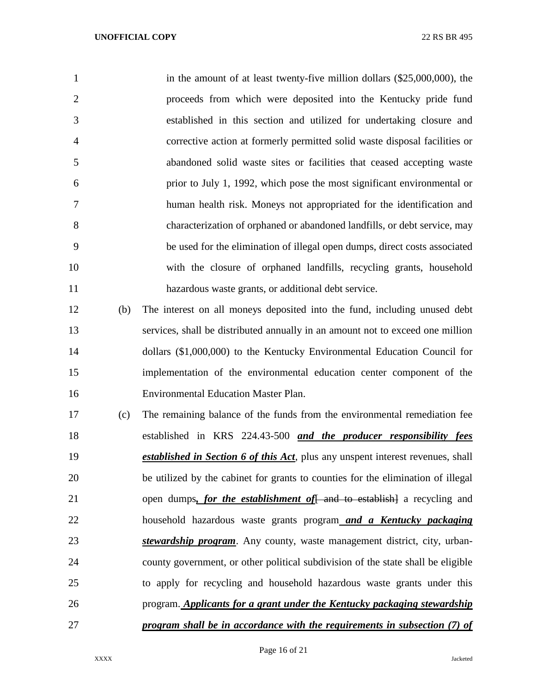| $\mathbf{1}$   |     | in the amount of at least twenty-five million dollars (\$25,000,000), the        |
|----------------|-----|----------------------------------------------------------------------------------|
| $\overline{2}$ |     | proceeds from which were deposited into the Kentucky pride fund                  |
| 3              |     | established in this section and utilized for undertaking closure and             |
| 4              |     | corrective action at formerly permitted solid waste disposal facilities or       |
| 5              |     | abandoned solid waste sites or facilities that ceased accepting waste            |
| 6              |     | prior to July 1, 1992, which pose the most significant environmental or          |
| 7              |     | human health risk. Moneys not appropriated for the identification and            |
| 8              |     | characterization of orphaned or abandoned landfills, or debt service, may        |
| 9              |     | be used for the elimination of illegal open dumps, direct costs associated       |
| 10             |     | with the closure of orphaned landfills, recycling grants, household              |
| 11             |     | hazardous waste grants, or additional debt service.                              |
| 12             | (b) | The interest on all moneys deposited into the fund, including unused debt        |
| 13             |     | services, shall be distributed annually in an amount not to exceed one million   |
| 14             |     | dollars (\$1,000,000) to the Kentucky Environmental Education Council for        |
| 15             |     | implementation of the environmental education center component of the            |
| 16             |     | <b>Environmental Education Master Plan.</b>                                      |
| 17             | (c) | The remaining balance of the funds from the environmental remediation fee        |
| 18             |     | established in KRS 224.43-500 and the producer responsibility fees               |
| 19             |     | established in Section 6 of this Act, plus any unspent interest revenues, shall  |
| 20             |     | be utilized by the cabinet for grants to counties for the elimination of illegal |
| 21             |     | open dumps, for the establishment of and to establish a recycling and            |
| 22             |     | household hazardous waste grants program and a Kentucky packaging                |
| 23             |     | stewardship program. Any county, waste management district, city, urban-         |
| 24             |     | county government, or other political subdivision of the state shall be eligible |
| 25             |     | to apply for recycling and household hazardous waste grants under this           |
| 26             |     | program. Applicants for a grant under the Kentucky packaging stewardship         |
| 27             |     | program shall be in accordance with the requirements in subsection (7) of        |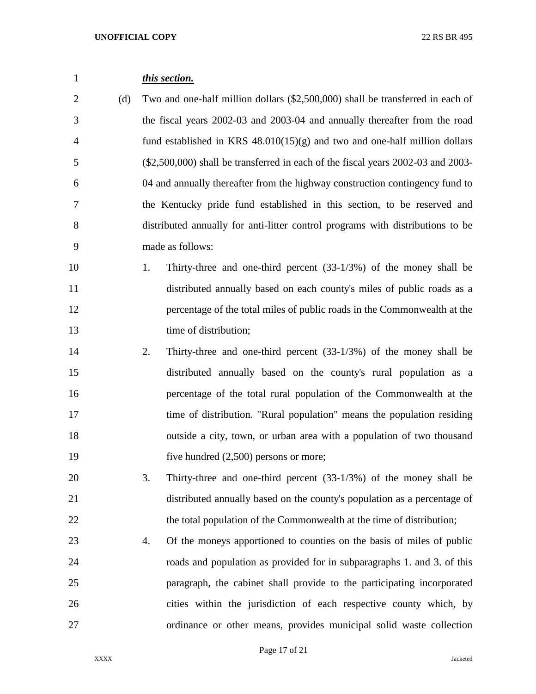| $\mathbf{1}$   |     | this section.                                                                      |
|----------------|-----|------------------------------------------------------------------------------------|
| 2              | (d) | Two and one-half million dollars (\$2,500,000) shall be transferred in each of     |
| 3              |     | the fiscal years 2002-03 and 2003-04 and annually thereafter from the road         |
| $\overline{4}$ |     | fund established in KRS $48.010(15)(g)$ and two and one-half million dollars       |
| 5              |     | $(\$2,500,000)$ shall be transferred in each of the fiscal years 2002-03 and 2003- |
| 6              |     | 04 and annually thereafter from the highway construction contingency fund to       |
| 7              |     | the Kentucky pride fund established in this section, to be reserved and            |
| 8              |     | distributed annually for anti-litter control programs with distributions to be     |
| 9              |     | made as follows:                                                                   |
| 10             |     | Thirty-three and one-third percent $(33-1/3%)$ of the money shall be<br>1.         |
|                |     |                                                                                    |

- distributed annually based on each county's miles of public roads as a percentage of the total miles of public roads in the Commonwealth at the 13 time of distribution;
- 2. Thirty-three and one-third percent (33-1/3%) of the money shall be distributed annually based on the county's rural population as a percentage of the total rural population of the Commonwealth at the 17 time of distribution. "Rural population" means the population residing outside a city, town, or urban area with a population of two thousand five hundred (2,500) persons or more;
- 3. Thirty-three and one-third percent (33-1/3%) of the money shall be distributed annually based on the county's population as a percentage of 22 the total population of the Commonwealth at the time of distribution;
- 4. Of the moneys apportioned to counties on the basis of miles of public roads and population as provided for in subparagraphs 1. and 3. of this paragraph, the cabinet shall provide to the participating incorporated cities within the jurisdiction of each respective county which, by ordinance or other means, provides municipal solid waste collection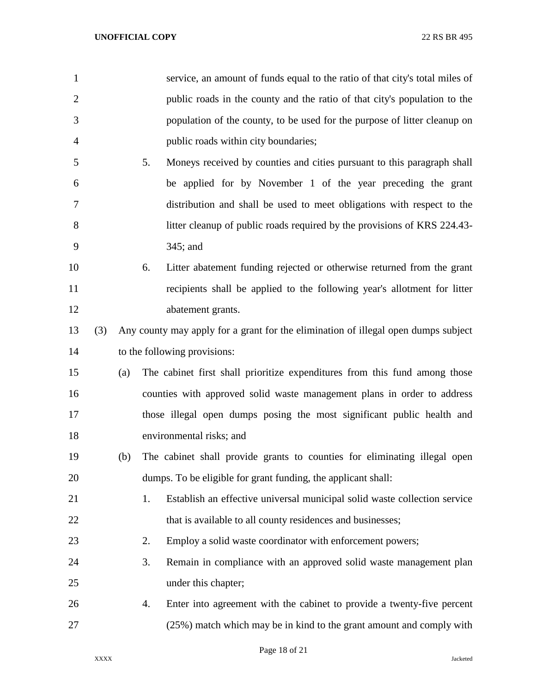| $\mathbf{1}$   |     |     |    | service, an amount of funds equal to the ratio of that city's total miles of       |
|----------------|-----|-----|----|------------------------------------------------------------------------------------|
| $\overline{2}$ |     |     |    | public roads in the county and the ratio of that city's population to the          |
| 3              |     |     |    | population of the county, to be used for the purpose of litter cleanup on          |
| 4              |     |     |    | public roads within city boundaries;                                               |
| 5              |     |     | 5. | Moneys received by counties and cities pursuant to this paragraph shall            |
| 6              |     |     |    | be applied for by November 1 of the year preceding the grant                       |
| 7              |     |     |    | distribution and shall be used to meet obligations with respect to the             |
| 8              |     |     |    | litter cleanup of public roads required by the provisions of KRS 224.43-           |
| 9              |     |     |    | 345; and                                                                           |
| 10             |     |     | 6. | Litter abatement funding rejected or otherwise returned from the grant             |
| 11             |     |     |    | recipients shall be applied to the following year's allotment for litter           |
| 12             |     |     |    | abatement grants.                                                                  |
| 13             | (3) |     |    | Any county may apply for a grant for the elimination of illegal open dumps subject |
| 14             |     |     |    | to the following provisions:                                                       |
| 15             |     | (a) |    | The cabinet first shall prioritize expenditures from this fund among those         |
| 16             |     |     |    | counties with approved solid waste management plans in order to address            |
| 17             |     |     |    | those illegal open dumps posing the most significant public health and             |
| 18             |     |     |    | environmental risks; and                                                           |
| 19             |     | (b) |    | The cabinet shall provide grants to counties for eliminating illegal open          |
| 20             |     |     |    | dumps. To be eligible for grant funding, the applicant shall:                      |
| 21             |     |     | 1. | Establish an effective universal municipal solid waste collection service          |
| 22             |     |     |    | that is available to all county residences and businesses;                         |
| 23             |     |     | 2. | Employ a solid waste coordinator with enforcement powers;                          |
| 24             |     |     | 3. | Remain in compliance with an approved solid waste management plan                  |
| 25             |     |     |    | under this chapter;                                                                |
| 26             |     |     | 4. | Enter into agreement with the cabinet to provide a twenty-five percent             |
| 27             |     |     |    | (25%) match which may be in kind to the grant amount and comply with               |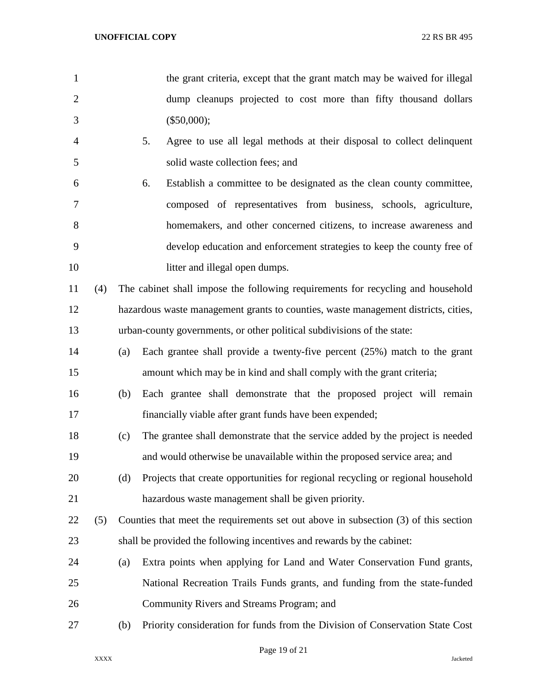| $\mathbf{1}$   |     |     | the grant criteria, except that the grant match may be waived for illegal           |
|----------------|-----|-----|-------------------------------------------------------------------------------------|
| $\overline{2}$ |     |     | dump cleanups projected to cost more than fifty thousand dollars                    |
| 3              |     |     | $(\$50,000);$                                                                       |
| $\overline{4}$ |     |     | 5.<br>Agree to use all legal methods at their disposal to collect delinquent        |
| 5              |     |     | solid waste collection fees; and                                                    |
| 6              |     |     | 6.<br>Establish a committee to be designated as the clean county committee,         |
| 7              |     |     | composed of representatives from business, schools, agriculture,                    |
| 8              |     |     | homemakers, and other concerned citizens, to increase awareness and                 |
| 9              |     |     | develop education and enforcement strategies to keep the county free of             |
| 10             |     |     | litter and illegal open dumps.                                                      |
| 11             | (4) |     | The cabinet shall impose the following requirements for recycling and household     |
| 12             |     |     | hazardous waste management grants to counties, waste management districts, cities,  |
| 13             |     |     | urban-county governments, or other political subdivisions of the state:             |
| 14             |     | (a) | Each grantee shall provide a twenty-five percent $(25%)$ match to the grant         |
| 15             |     |     | amount which may be in kind and shall comply with the grant criteria;               |
| 16             |     | (b) | Each grantee shall demonstrate that the proposed project will remain                |
| 17             |     |     | financially viable after grant funds have been expended;                            |
| 18             |     | (c) | The grantee shall demonstrate that the service added by the project is needed       |
| 19             |     |     | and would otherwise be unavailable within the proposed service area; and            |
| 20             |     | (d) | Projects that create opportunities for regional recycling or regional household     |
| 21             |     |     | hazardous waste management shall be given priority.                                 |
| 22             | (5) |     | Counties that meet the requirements set out above in subsection (3) of this section |
| 23             |     |     | shall be provided the following incentives and rewards by the cabinet:              |
| 24             |     | (a) | Extra points when applying for Land and Water Conservation Fund grants,             |
| 25             |     |     | National Recreation Trails Funds grants, and funding from the state-funded          |
| 26             |     |     | Community Rivers and Streams Program; and                                           |
| 27             |     | (b) | Priority consideration for funds from the Division of Conservation State Cost       |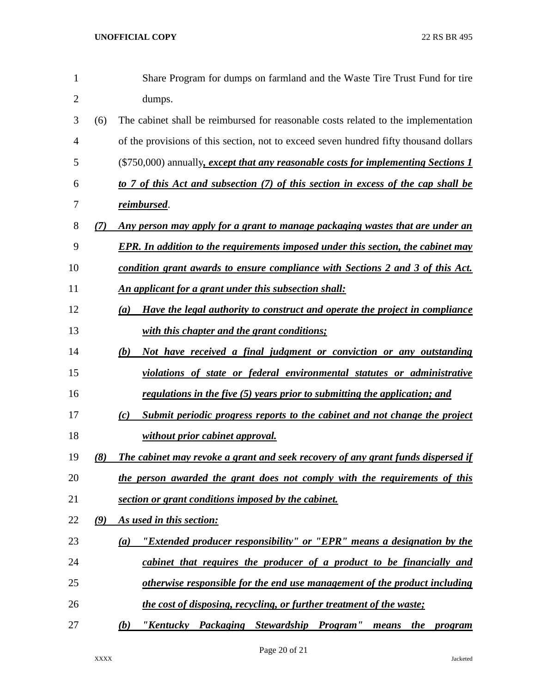| $\mathbf{1}$   |     | Share Program for dumps on farmland and the Waste Tire Trust Fund for tire              |
|----------------|-----|-----------------------------------------------------------------------------------------|
| $\overline{2}$ |     | dumps.                                                                                  |
| 3              | (6) | The cabinet shall be reimbursed for reasonable costs related to the implementation      |
| 4              |     | of the provisions of this section, not to exceed seven hundred fifty thousand dollars   |
| 5              |     | (\$750,000) annually, except that any reasonable costs for implementing Sections 1      |
| 6              |     | to 7 of this Act and subsection (7) of this section in excess of the cap shall be       |
| 7              |     | reimbursed.                                                                             |
| 8              | (7) | Any person may apply for a grant to manage packaging wastes that are under an           |
| 9              |     | <b>EPR.</b> In addition to the requirements imposed under this section, the cabinet may |
| 10             |     | condition grant awards to ensure compliance with Sections 2 and 3 of this Act.          |
| 11             |     | <u>An applicant for a grant under this subsection shall:</u>                            |
| 12             |     | Have the legal authority to construct and operate the project in compliance<br>(a)      |
| 13             |     | with this chapter and the grant conditions;                                             |
| 14             |     | (b)<br>Not have received a final judgment or conviction or any outstanding              |
| 15             |     | violations of state or federal environmental statutes or administrative                 |
| 16             |     | regulations in the five (5) years prior to submitting the application; and              |
| 17             |     | Submit periodic progress reports to the cabinet and not change the project<br>(c)       |
| 18             |     | without prior cabinet approval.                                                         |
| 19             | (8) | The cabinet may revoke a grant and seek recovery of any grant funds dispersed if        |
| 20             |     | the person awarded the grant does not comply with the requirements of this              |
| 21             |     | section or grant conditions imposed by the cabinet.                                     |
| 22             | (9) | As used in this section:                                                                |
| 23             |     | "Extended producer responsibility" or "EPR" means a designation by the<br>(a)           |
| 24             |     | cabinet that requires the producer of a product to be financially and                   |
| 25             |     | <u>otherwise responsible for the end use management of the product including</u>        |
| 26             |     | the cost of disposing, recycling, or further treatment of the waste;                    |
| 27             |     | "Kentucky Packaging Stewardship Program"<br>(b)<br>means the<br><i>program</i>          |